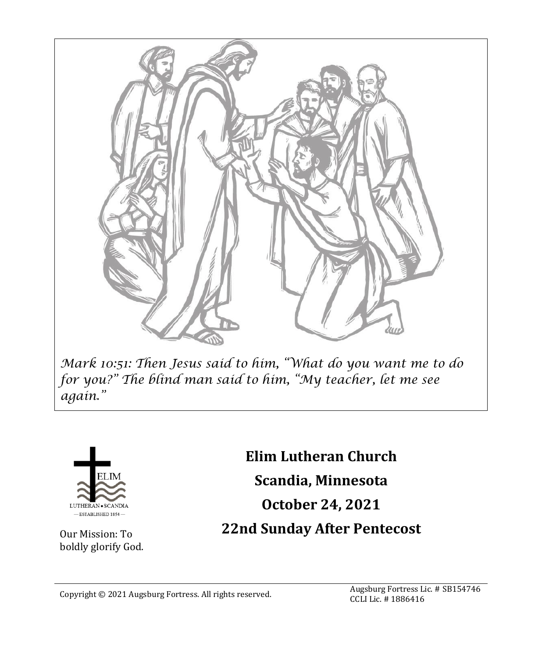



Our Mission: To boldly glorify God.

**Elim Lutheran Church Scandia, Minnesota October 24, 2021 22nd Sunday After Pentecost**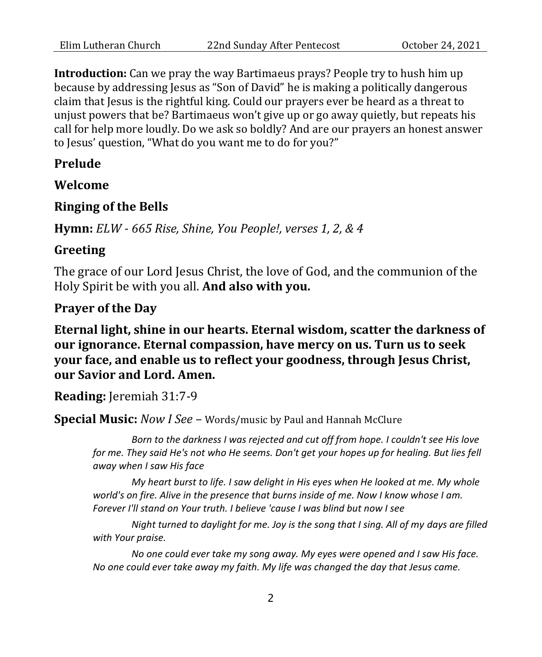**Introduction:** Can we pray the way Bartimaeus prays? People try to hush him up because by addressing Jesus as "Son of David" he is making a politically dangerous claim that Jesus is the rightful king. Could our prayers ever be heard as a threat to unjust powers that be? Bartimaeus won't give up or go away quietly, but repeats his call for help more loudly. Do we ask so boldly? And are our prayers an honest answer to Jesus' question, "What do you want me to do for you?"

#### **Prelude**

**Welcome**

#### **Ringing of the Bells**

**Hymn:** *ELW - 665 Rise, Shine, You People!, verses 1, 2, & 4*

#### **Greeting**

The grace of our Lord Jesus Christ, the love of God, and the communion of the Holy Spirit be with you all. **And also with you.**

#### **Prayer of the Day**

**Eternal light, shine in our hearts. Eternal wisdom, scatter the darkness of our ignorance. Eternal compassion, have mercy on us. Turn us to seek your face, and enable us to reflect your goodness, through Jesus Christ, our Savior and Lord. Amen.**

**Reading:** Jeremiah 31:7-9

**Special Music:** *Now I See* – Words/music by Paul and Hannah McClure

*Born to the darkness I was rejected and cut off from hope. I couldn't see His love*  for me. They said He's not who He seems. Don't get your hopes up for healing. But lies fell *away when I saw His face*

*My heart burst to life. I saw delight in His eyes when He looked at me. My whole world's on fire. Alive in the presence that burns inside of me. Now I know whose I am. Forever I'll stand on Your truth. I believe 'cause I was blind but now I see*

*Night turned to daylight for me. Joy is the song that I sing. All of my days are filled with Your praise.*

*No one could ever take my song away. My eyes were opened and I saw His face. No one could ever take away my faith. My life was changed the day that Jesus came.*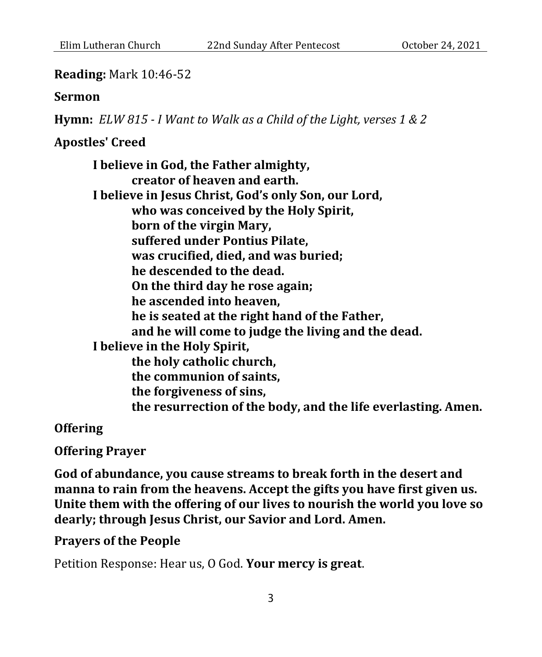#### **Reading:** Mark 10:46-52

#### **Sermon**

**Hymn:** *ELW 815 - I Want to Walk as a Child of the Light, verses 1 & 2*

## **Apostles' Creed**

**I believe in God, the Father almighty, creator of heaven and earth. I believe in Jesus Christ, God's only Son, our Lord, who was conceived by the Holy Spirit, born of the virgin Mary, suffered under Pontius Pilate, was crucified, died, and was buried; he descended to the dead. On the third day he rose again; he ascended into heaven, he is seated at the right hand of the Father, and he will come to judge the living and the dead. I believe in the Holy Spirit, the holy catholic church, the communion of saints, the forgiveness of sins, the resurrection of the body, and the life everlasting. Amen.**

**Offering**

**Offering Prayer**

**God of abundance, you cause streams to break forth in the desert and manna to rain from the heavens. Accept the gifts you have first given us. Unite them with the offering of our lives to nourish the world you love so dearly; through Jesus Christ, our Savior and Lord. Amen.**

#### **Prayers of the People**

Petition Response: Hear us, O God. **Your mercy is great**.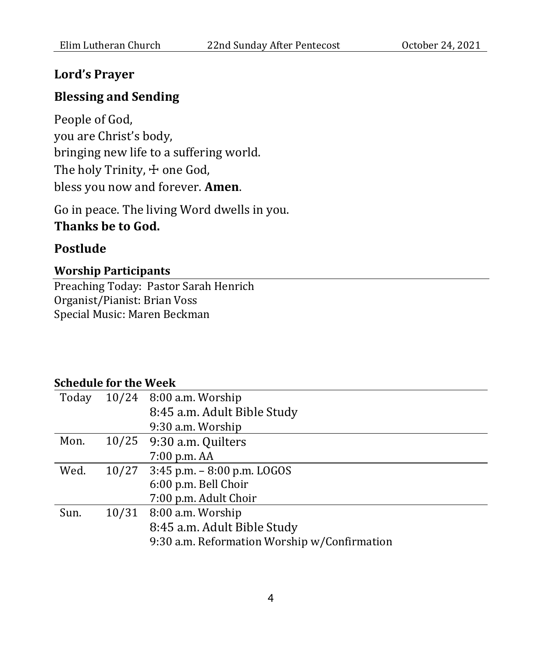### **Lord's Prayer**

## **Blessing and Sending**

People of God, you are Christ's body, bringing new life to a suffering world. The holy Trinity,  $\pm$  one God, bless you now and forever. **Amen**.

Go in peace. The living Word dwells in you. **Thanks be to God.**

## **Postlude**

### **Worship Participants**

Preaching Today: Pastor Sarah Henrich Organist/Pianist: Brian Voss Special Music: Maren Beckman

#### **Schedule for the Week**

| Today |       | 10/24 8:00 a.m. Worship                      |
|-------|-------|----------------------------------------------|
|       |       | 8:45 a.m. Adult Bible Study                  |
|       |       | 9:30 a.m. Worship                            |
| Mon.  |       | 10/25 9:30 a.m. Quilters                     |
|       |       | 7:00 p.m. AA                                 |
| Wed.  |       | $10/27$ 3:45 p.m. $-8:00$ p.m. LOGOS         |
|       |       | 6:00 p.m. Bell Choir                         |
|       |       | 7:00 p.m. Adult Choir                        |
| Sun.  | 10/31 | 8:00 a.m. Worship                            |
|       |       | 8:45 a.m. Adult Bible Study                  |
|       |       | 9:30 a.m. Reformation Worship w/Confirmation |
|       |       |                                              |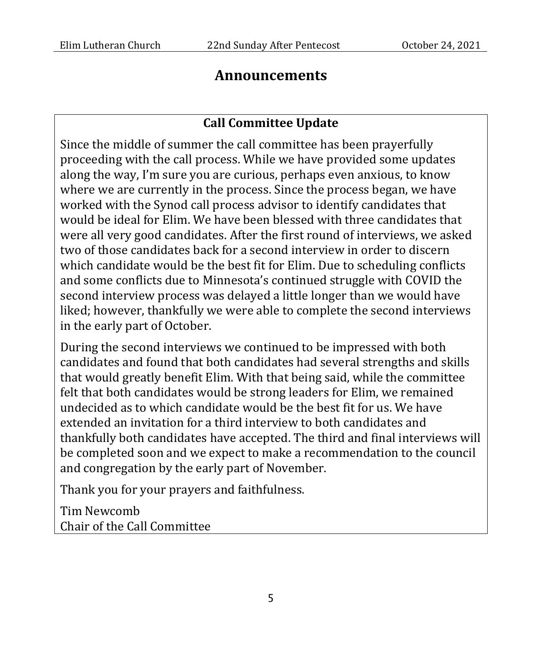## **Announcements**

## **Call Committee Update**

Since the middle of summer the call committee has been prayerfully proceeding with the call process. While we have provided some updates along the way, I'm sure you are curious, perhaps even anxious, to know where we are currently in the process. Since the process began, we have worked with the Synod call process advisor to identify candidates that would be ideal for Elim. We have been blessed with three candidates that were all very good candidates. After the first round of interviews, we asked two of those candidates back for a second interview in order to discern which candidate would be the best fit for Elim. Due to scheduling conflicts and some conflicts due to Minnesota's continued struggle with COVID the second interview process was delayed a little longer than we would have liked; however, thankfully we were able to complete the second interviews in the early part of October.

During the second interviews we continued to be impressed with both candidates and found that both candidates had several strengths and skills that would greatly benefit Elim. With that being said, while the committee felt that both candidates would be strong leaders for Elim, we remained undecided as to which candidate would be the best fit for us. We have extended an invitation for a third interview to both candidates and thankfully both candidates have accepted. The third and final interviews will be completed soon and we expect to make a recommendation to the council and congregation by the early part of November.

Thank you for your prayers and faithfulness.

Tim Newcomb Chair of the Call Committee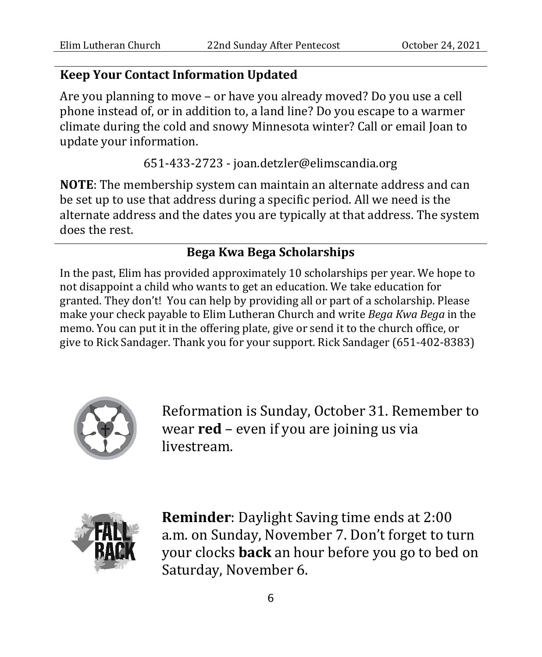## **Keep Your Contact Information Updated**

Are you planning to move – or have you already moved? Do you use a cell phone instead of, or in addition to, a land line? Do you escape to a warmer climate during the cold and snowy Minnesota winter? Call or email Joan to update your information.

651-433-2723 - joan.detzler@elimscandia.org

**NOTE**: The membership system can maintain an alternate address and can be set up to use that address during a specific period. All we need is the alternate address and the dates you are typically at that address. The system does the rest.

## **Bega Kwa Bega Scholarships**

In the past, Elim has provided approximately 10 scholarships per year. We hope to not disappoint a child who wants to get an education. We take education for granted. They don't! You can help by providing all or part of a scholarship. Please make your check payable to Elim Lutheran Church and write *Bega Kwa Bega* in the memo. You can put it in the offering plate, give or send it to the church office, or give to Rick Sandager. Thank you for your support. Rick Sandager (651-402-8383)



Reformation is Sunday, October 31. Remember to wear **red** – even if you are joining us via livestream.



**Reminder**: Daylight Saving time ends at 2:00 a.m. on Sunday, November 7. Don't forget to turn your clocks **back** an hour before you go to bed on Saturday, November 6.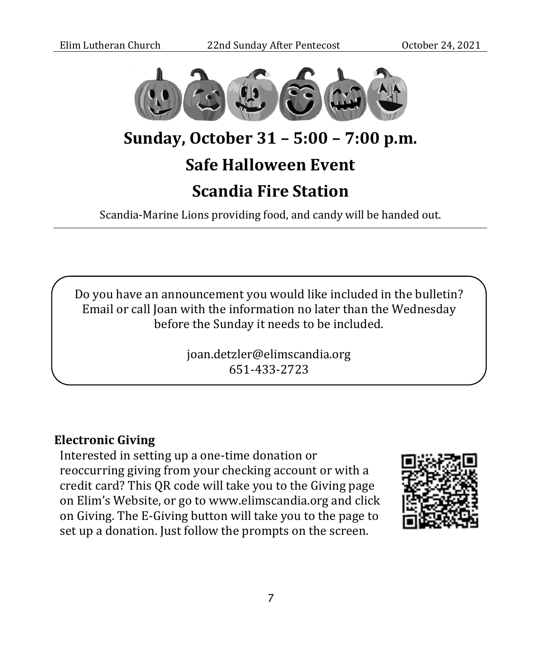

# **Sunday, October 31 – 5:00 – 7:00 p.m.**

# **Safe Halloween Event**

# **Scandia Fire Station**

Scandia-Marine Lions providing food, and candy will be handed out.

Do you have an announcement you would like included in the bulletin? Email or call Joan with the information no later than the Wednesday before the Sunday it needs to be included.

> joan.detzler@elimscandia.org 651-433-2723

## **Electronic Giving**

Interested in setting up a one-time donation or reoccurring giving from your checking account or with a credit card? This QR code will take you to the Giving page on Elim's Website, or go to www.elimscandia.org and click on Giving. The E-Giving button will take you to the page to set up a donation. Just follow the prompts on the screen.